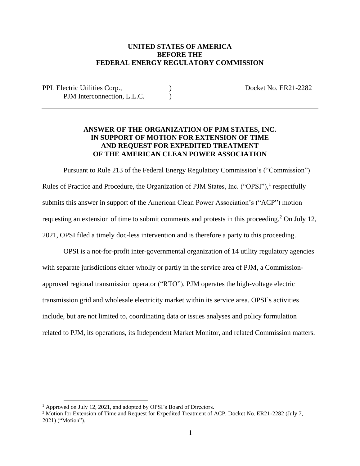### **UNITED STATES OF AMERICA BEFORE THE FEDERAL ENERGY REGULATORY COMMISSION**

PPL Electric Utilities Corp.,  $Docket No. ER21-2282$ PJM Interconnection, L.L.C.

# **ANSWER OF THE ORGANIZATION OF PJM STATES, INC. IN SUPPORT OF MOTION FOR EXTENSION OF TIME AND REQUEST FOR EXPEDITED TREATMENT OF THE AMERICAN CLEAN POWER ASSOCIATION**

Pursuant to Rule 213 of the Federal Energy Regulatory Commission's ("Commission") Rules of Practice and Procedure, the Organization of PJM States, Inc. ("OPSI"),<sup>1</sup> respectfully submits this answer in support of the American Clean Power Association's ("ACP") motion requesting an extension of time to submit comments and protests in this proceeding. <sup>2</sup> On July 12, 2021, OPSI filed a timely doc-less intervention and is therefore a party to this proceeding.

OPSI is a not-for-profit inter-governmental organization of 14 utility regulatory agencies with separate jurisdictions either wholly or partly in the service area of PJM, a Commissionapproved regional transmission operator ("RTO"). PJM operates the high-voltage electric transmission grid and wholesale electricity market within its service area. OPSI's activities include, but are not limited to, coordinating data or issues analyses and policy formulation related to PJM, its operations, its Independent Market Monitor, and related Commission matters.

<sup>&</sup>lt;sup>1</sup> Approved on July 12, 2021, and adopted by OPSI's Board of Directors.

<sup>&</sup>lt;sup>2</sup> Motion for Extension of Time and Request for Expedited Treatment of ACP, Docket No. ER21-2282 (July 7, 2021) ("Motion").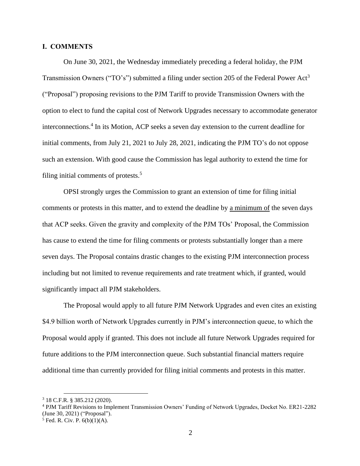### **I. COMMENTS**

On June 30, 2021, the Wednesday immediately preceding a federal holiday, the PJM Transmission Owners ("TO's") submitted a filing under section 205 of the Federal Power Act<sup>3</sup> ("Proposal") proposing revisions to the PJM Tariff to provide Transmission Owners with the option to elect to fund the capital cost of Network Upgrades necessary to accommodate generator interconnections. 4 In its Motion, ACP seeks a seven day extension to the current deadline for initial comments, from July 21, 2021 to July 28, 2021, indicating the PJM TO's do not oppose such an extension. With good cause the Commission has legal authority to extend the time for filing initial comments of protests.<sup>5</sup>

OPSI strongly urges the Commission to grant an extension of time for filing initial comments or protests in this matter, and to extend the deadline by a minimum of the seven days that ACP seeks. Given the gravity and complexity of the PJM TOs' Proposal, the Commission has cause to extend the time for filing comments or protests substantially longer than a mere seven days. The Proposal contains drastic changes to the existing PJM interconnection process including but not limited to revenue requirements and rate treatment which, if granted, would significantly impact all PJM stakeholders.

The Proposal would apply to all future PJM Network Upgrades and even cites an existing \$4.9 billion worth of Network Upgrades currently in PJM's interconnection queue, to which the Proposal would apply if granted. This does not include all future Network Upgrades required for future additions to the PJM interconnection queue. Such substantial financial matters require additional time than currently provided for filing initial comments and protests in this matter.

<sup>3</sup> 18 C.F.R. § 385.212 (2020).

<sup>4</sup> PJM Tariff Revisions to Implement Transmission Owners' Funding of Network Upgrades, Docket No. ER21-2282 (June 30, 2021) ("Proposal").

 $5$  Fed. R. Civ. P.  $6(b)(1)(A)$ .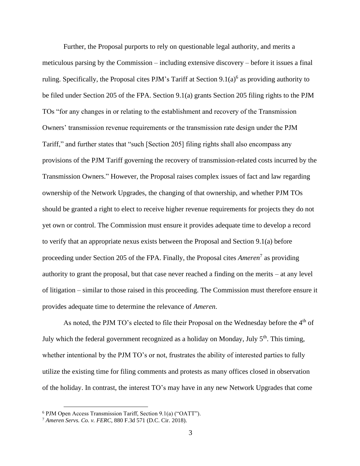Further, the Proposal purports to rely on questionable legal authority, and merits a meticulous parsing by the Commission – including extensive discovery – before it issues a final ruling. Specifically, the Proposal cites PJM's Tariff at Section  $9.1(a)^6$  as providing authority to be filed under Section 205 of the FPA. Section 9.1(a) grants Section 205 filing rights to the PJM TOs "for any changes in or relating to the establishment and recovery of the Transmission Owners' transmission revenue requirements or the transmission rate design under the PJM Tariff," and further states that "such [Section 205] filing rights shall also encompass any provisions of the PJM Tariff governing the recovery of transmission-related costs incurred by the Transmission Owners." However, the Proposal raises complex issues of fact and law regarding ownership of the Network Upgrades, the changing of that ownership, and whether PJM TOs should be granted a right to elect to receive higher revenue requirements for projects they do not yet own or control. The Commission must ensure it provides adequate time to develop a record to verify that an appropriate nexus exists between the Proposal and Section 9.1(a) before proceeding under Section 205 of the FPA. Finally, the Proposal cites *Ameren*<sup>7</sup> as providing authority to grant the proposal, but that case never reached a finding on the merits – at any level of litigation – similar to those raised in this proceeding. The Commission must therefore ensure it provides adequate time to determine the relevance of *Ameren*.

As noted, the PJM TO's elected to file their Proposal on the Wednesday before the  $4<sup>th</sup>$  of July which the federal government recognized as a holiday on Monday, July  $5<sup>th</sup>$ . This timing, whether intentional by the PJM TO's or not, frustrates the ability of interested parties to fully utilize the existing time for filing comments and protests as many offices closed in observation of the holiday. In contrast, the interest TO's may have in any new Network Upgrades that come

<sup>6</sup> PJM Open Access Transmission Tariff, Section 9.1(a) ("OATT").

<sup>7</sup> *Ameren Servs. Co. v. FERC*, 880 F.3d 571 (D.C. Cir. 2018).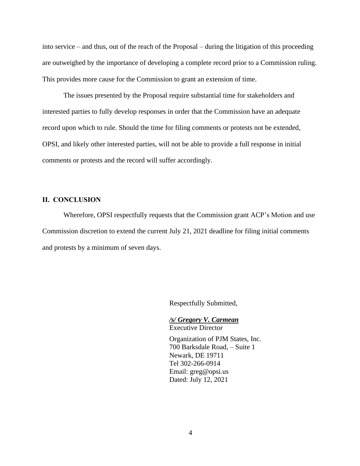into service – and thus, out of the reach of the Proposal – during the litigation of this proceeding are outweighed by the importance of developing a complete record prior to a Commission ruling. This provides more cause for the Commission to grant an extension of time.

The issues presented by the Proposal require substantial time for stakeholders and interested parties to fully develop responses in order that the Commission have an adequate record upon which to rule. Should the time for filing comments or protests not be extended, OPSI, and likely other interested parties, will not be able to provide a full response in initial comments or protests and the record will suffer accordingly.

#### **II. CONCLUSION**

Wherefore, OPSI respectfully requests that the Commission grant ACP's Motion and use Commission discretion to extend the current July 21, 2021 deadline for filing initial comments and protests by a minimum of seven days.

Respectfully Submitted,

*/s/ Gregory V. Carmean* Executive Director

Organization of PJM States, Inc. 700 Barksdale Road, – Suite 1 Newark, DE 19711 Tel 302-266-0914 Email: greg@opsi.us Dated: July 12, 2021